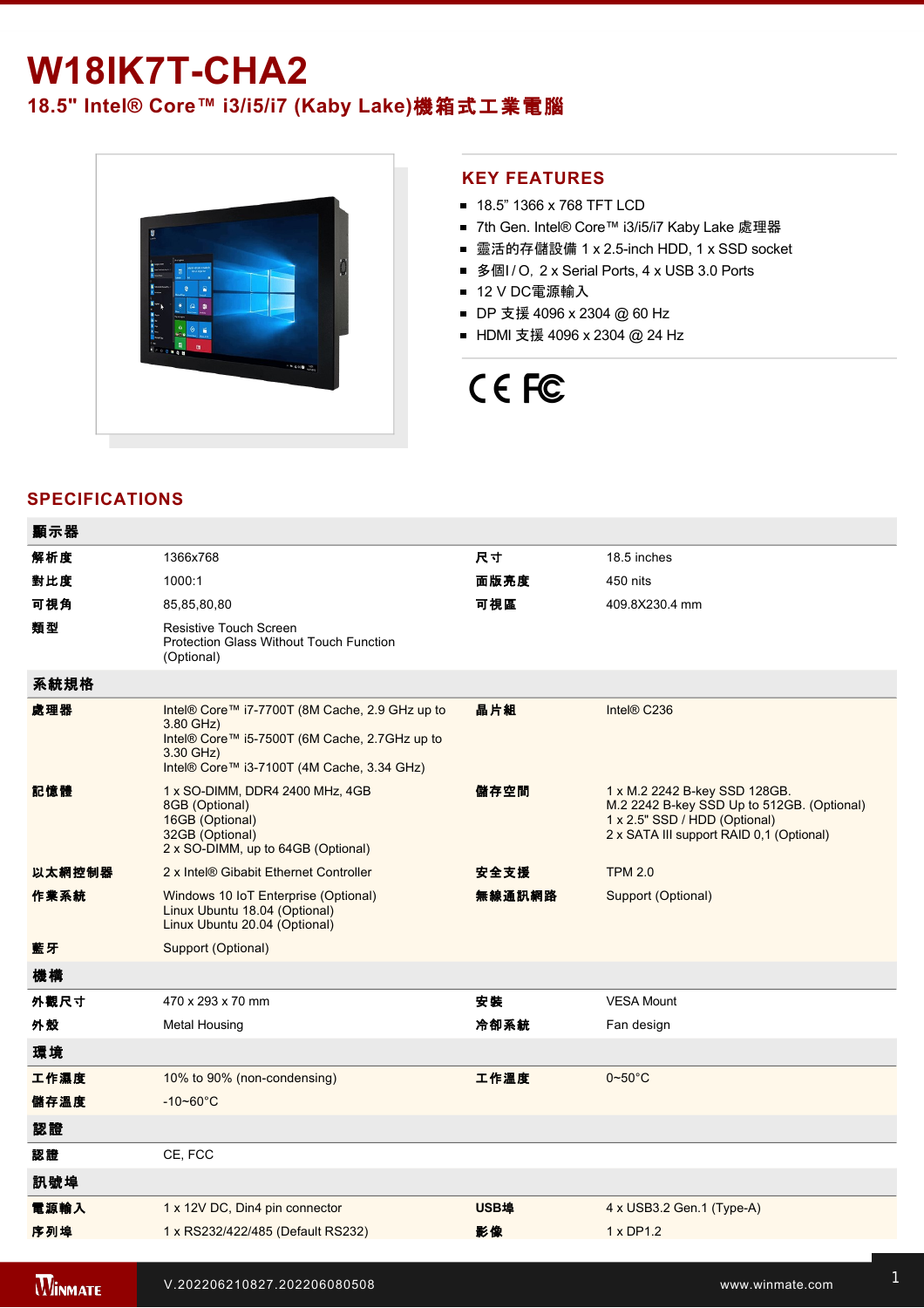## **W18IK7T-CHA2**

### **18.5" Intel® Core™ i3/i5/i7 (Kaby Lake)**機箱式工業電腦



### **KEY FEATURES**

- 18.5" 1366 x 768 TFT LCD
- 7th Gen. Intel® Core™ i3/i5/i7 Kaby Lake 處理器
- 靈活的存儲設備 1 x 2.5-inch HDD, 1 x SSD socket
- 多個I / O, 2 x Serial Ports, 4 x USB 3.0 Ports
- 12 V DC電源輸入
- DP 支援 4096 x 2304 @ 60 Hz
- HDMI 支援 4096 x 2304 @ 24 Hz

# CE FC

### **SPECIFICATIONS**

| 顯示器            |                                                                                                                                                                         |             |                                                                                                                                                          |
|----------------|-------------------------------------------------------------------------------------------------------------------------------------------------------------------------|-------------|----------------------------------------------------------------------------------------------------------------------------------------------------------|
| 解析度            | 1366x768                                                                                                                                                                | 尺寸          | 18.5 inches                                                                                                                                              |
| 對比度            | 1000:1                                                                                                                                                                  | 面版亮度        | 450 nits                                                                                                                                                 |
| 可視角            | 85,85,80,80                                                                                                                                                             | 可視區         | 409.8X230.4 mm                                                                                                                                           |
| 類型             | Resistive Touch Screen<br><b>Protection Glass Without Touch Function</b><br>(Optional)                                                                                  |             |                                                                                                                                                          |
| 系統規格           |                                                                                                                                                                         |             |                                                                                                                                                          |
| 處理器            | Intel® Core™ i7-7700T (8M Cache, 2.9 GHz up to<br>3.80 GHz)<br>Intel® Core™ i5-7500T (6M Cache, 2.7GHz up to<br>3.30 GHz)<br>Intel® Core™ i3-7100T (4M Cache, 3.34 GHz) | 晶片組         | Intel® C236                                                                                                                                              |
| 記憶體            | 1 x SO-DIMM, DDR4 2400 MHz, 4GB<br>8GB (Optional)<br>16GB (Optional)<br>32GB (Optional)<br>2 x SO-DIMM, up to 64GB (Optional)                                           | 儲存空間        | 1 x M.2 2242 B-key SSD 128GB.<br>M.2 2242 B-key SSD Up to 512GB. (Optional)<br>1 x 2.5" SSD / HDD (Optional)<br>2 x SATA III support RAID 0,1 (Optional) |
| 以太網控制器         | 2 x Intel® Gibabit Ethernet Controller                                                                                                                                  | 安全支援        | <b>TPM 2.0</b>                                                                                                                                           |
| 作業系統           | Windows 10 IoT Enterprise (Optional)<br>Linux Ubuntu 18.04 (Optional)<br>Linux Ubuntu 20.04 (Optional)                                                                  | 無線通訊網路      | Support (Optional)                                                                                                                                       |
| 藍牙             | Support (Optional)                                                                                                                                                      |             |                                                                                                                                                          |
| 機構             |                                                                                                                                                                         |             |                                                                                                                                                          |
| 外觀尺寸           | 470 x 293 x 70 mm                                                                                                                                                       | 安裝          | <b>VESA Mount</b>                                                                                                                                        |
| 外殼             | <b>Metal Housing</b>                                                                                                                                                    | 冷卻系統        | Fan design                                                                                                                                               |
| 環境             |                                                                                                                                                                         |             |                                                                                                                                                          |
| 工作濕度           | 10% to 90% (non-condensing)                                                                                                                                             | 工作溫度        | $0\nightharpoonup 50^\circ C$                                                                                                                            |
| 儲存溫度           | $-10 - 60^{\circ}$ C                                                                                                                                                    |             |                                                                                                                                                          |
| 認證             |                                                                                                                                                                         |             |                                                                                                                                                          |
| 認證             | CE, FCC                                                                                                                                                                 |             |                                                                                                                                                          |
| 訊號埠            |                                                                                                                                                                         |             |                                                                                                                                                          |
| 電源輸入           | 1 x 12V DC, Din4 pin connector                                                                                                                                          | <b>USB埠</b> | 4 x USB3.2 Gen.1 (Type-A)                                                                                                                                |
| 序列埠            | 1 x RS232/422/485 (Default RS232)                                                                                                                                       | 影像          | 1 x DP1.2                                                                                                                                                |
|                |                                                                                                                                                                         |             |                                                                                                                                                          |
| <b>WINMATE</b> | V.202206210827.202206080508                                                                                                                                             |             | www.winmate.com                                                                                                                                          |